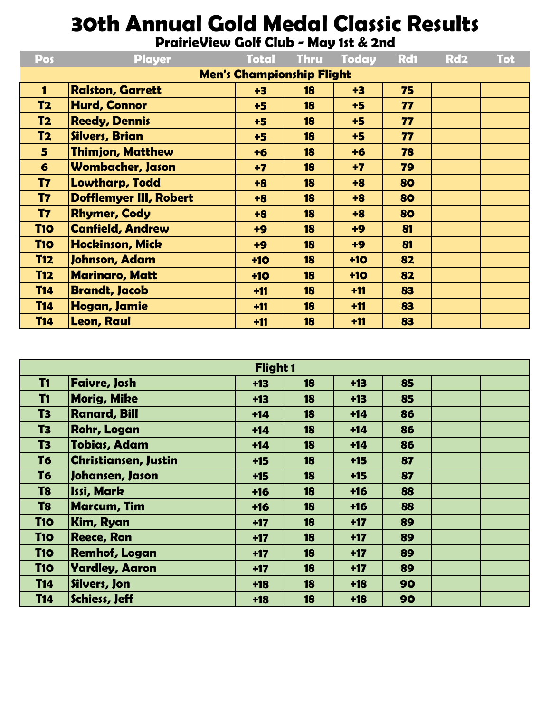## **30th Annual Gold Medal Classic Results**

**PrairieView Golf Club - May 1st & 2nd**

| Pos                              | <b>Player</b>                 | <b>Total</b> | <b>Thru</b> | <b>Today</b> | <b>Rd1</b> | Rd <sub>2</sub> | <b>Tot</b> |
|----------------------------------|-------------------------------|--------------|-------------|--------------|------------|-----------------|------------|
| <b>Men's Championship Flight</b> |                               |              |             |              |            |                 |            |
| $\mathbf{1}$                     | <b>Ralston, Garrett</b>       | $+3$         | 18          | $+3$         | 75         |                 |            |
| T <sub>2</sub>                   | <b>Hurd, Connor</b>           | $+5$         | 18          | $+5$         | 77         |                 |            |
| T <sub>2</sub>                   | <b>Reedy, Dennis</b>          | $+5$         | 18          | $+5$         | 77         |                 |            |
| <b>T2</b>                        | <b>Silvers, Brian</b>         | $+5$         | 18          | $+5$         | 77         |                 |            |
| 5 <sub>1</sub>                   | <b>Thimjon, Matthew</b>       | $+6$         | 18          | $+6$         | 78         |                 |            |
| 6                                | <b>Wombacher, Jason</b>       | $+7$         | 18          | $+7$         | 79         |                 |            |
| <b>T7</b>                        | <b>Lowtharp, Todd</b>         | $+8$         | 18          | $+8$         | 80         |                 |            |
| <b>T7</b>                        | <b>Dofflemyer III, Robert</b> | $+8$         | 18          | $+8$         | 80         |                 |            |
| <b>T7</b>                        | <b>Rhymer, Cody</b>           | $+8$         | 18          | $+8$         | 80         |                 |            |
| <b>T10</b>                       | <b>Canfield, Andrew</b>       | $+9$         | 18          | $+9$         | 81         |                 |            |
| <b>T10</b>                       | <b>Hockinson, Mick</b>        | $+9$         | 18          | $+9$         | 81         |                 |            |
| <b>T12</b>                       | Johnson, Adam                 | $+10$        | 18          | $+10$        | 82         |                 |            |
| <b>T12</b>                       | <b>Marinaro, Matt</b>         | $+10$        | 18          | $+10$        | 82         |                 |            |
| <b>T14</b>                       | <b>Brandt, Jacob</b>          | $+11$        | 18          | $+11$        | 83         |                 |            |
| <b>T14</b>                       | Hogan, Jamie                  | $+11$        | 18          | $+11$        | 83         |                 |            |
| <b>T14</b>                       | <b>Leon, Raul</b>             | $+11$        | 18          | $+11$        | 83         |                 |            |

| Flight 1       |                             |       |    |       |    |  |  |  |
|----------------|-----------------------------|-------|----|-------|----|--|--|--|
| <b>T1</b>      | <b>Faivre, Josh</b>         | $+13$ | 18 | $+13$ | 85 |  |  |  |
| <b>T1</b>      | <b>Morig, Mike</b>          | $+13$ | 18 | $+13$ | 85 |  |  |  |
| T <sub>3</sub> | <b>Ranard, Bill</b>         | $+14$ | 18 | $+14$ | 86 |  |  |  |
| T <sub>3</sub> | <b>Rohr, Logan</b>          | $+14$ | 18 | $+14$ | 86 |  |  |  |
| T <sub>3</sub> | <b>Tobias, Adam</b>         | $+14$ | 18 | $+14$ | 86 |  |  |  |
| T <sub>6</sub> | <b>Christiansen, Justin</b> | $+15$ | 18 | $+15$ | 87 |  |  |  |
| T <sub>6</sub> | Johansen, Jason             | $+15$ | 18 | $+15$ | 87 |  |  |  |
| T <sub>8</sub> | <b>Issi, Mark</b>           | $+16$ | 18 | $+16$ | 88 |  |  |  |
| T <sub>8</sub> | <b>Marcum, Tim</b>          | $+16$ | 18 | $+16$ | 88 |  |  |  |
| <b>T10</b>     | <b>Kim, Ryan</b>            | $+17$ | 18 | $+17$ | 89 |  |  |  |
| <b>T10</b>     | <b>Reece, Ron</b>           | $+17$ | 18 | $+17$ | 89 |  |  |  |
| <b>T10</b>     | <b>Remhof, Logan</b>        | $+17$ | 18 | $+17$ | 89 |  |  |  |
| <b>T10</b>     | <b>Yardley, Aaron</b>       | $+17$ | 18 | $+17$ | 89 |  |  |  |
| <b>T14</b>     | Silvers, Jon                | $+18$ | 18 | $+18$ | 90 |  |  |  |
| <b>T14</b>     | <b>Schiess, Jeff</b>        | $+18$ | 18 | $+18$ | 90 |  |  |  |